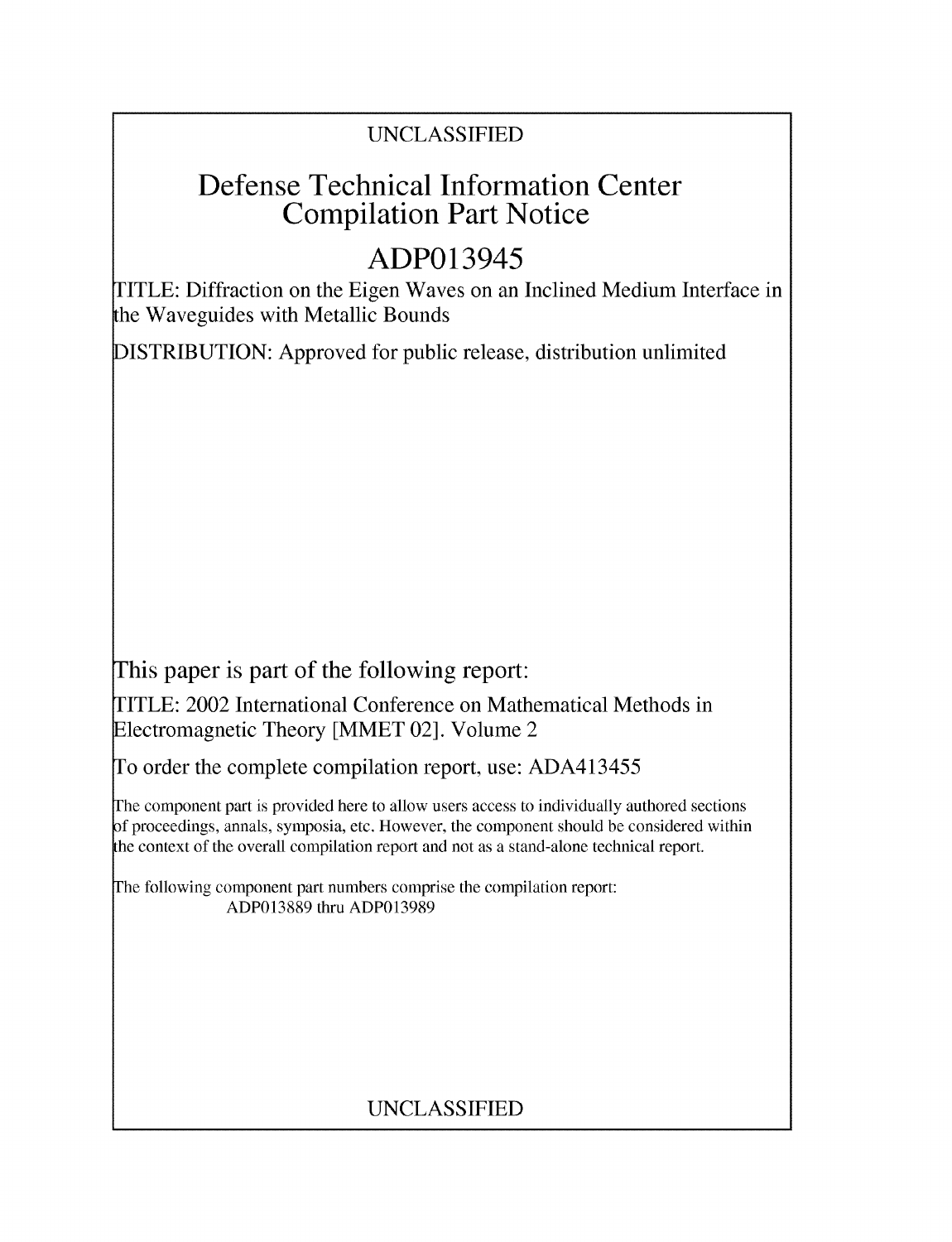## UNCLASSIFIED

## Defense Technical Information Center Compilation Part Notice

# ADP013945

TITLE: Diffraction on the Eigen Waves on an Inclined Medium Interface in the Waveguides with Metallic Bounds

DISTRIBUTION: Approved for public release, distribution unlimited

This paper is part of the following report:

TITLE: 2002 International Conference on Mathematical Methods in Electromagnetic Theory [MMET 02]. Volume 2

To order the complete compilation report, use: ADA413455

The component part is provided here to allow users access to individually authored sections f proceedings, annals, symposia, etc. However, the component should be considered within the context of the overall compilation report and not as a stand-alone technical report.

The following component part numbers comprise the compilation report: ADP013889 thru ADP013989

## UNCLASSIFIED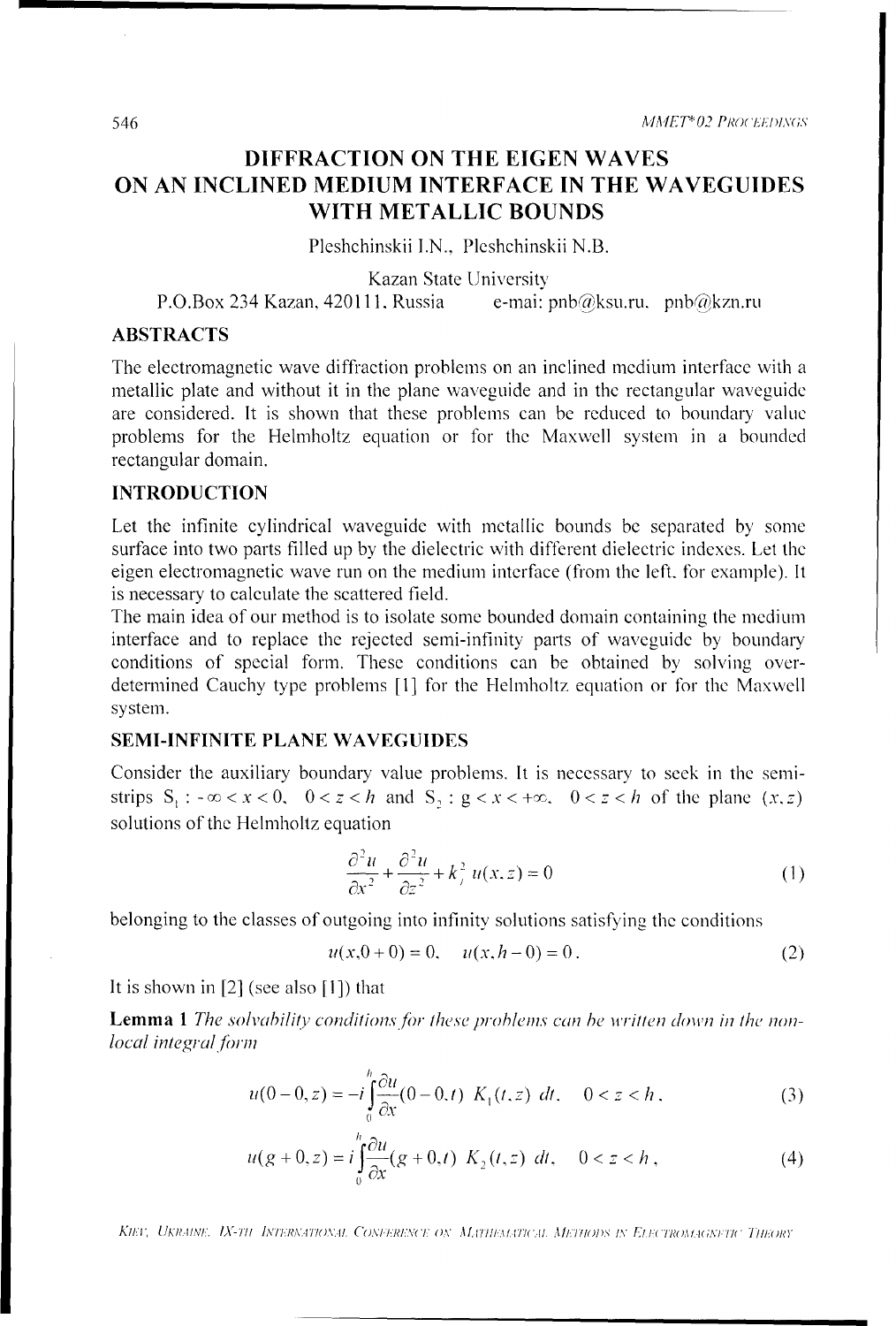546 *MMET*\*02 *PROCEEDINGS* 

### DIFFRACTION **ON** THE **EIGEN** WAVES **ON AN INCLINED MEDIUM INTERFACE IN** THE **WAVEGUIDES** WITH **METALLIC BOUNDS**

Pleshchinskii I.N., Pleshchinskii N.B.

Kazan State University

P.O.Box 234 Kazan, 420111. Russia e-mai: pnb@ksu.ru. pnb@kzn.ru

#### ABSTRACTS

The electromagnetic wave diffraction problems on an inclined medium interface with a metallic plate and without it in the plane waveguide and in the rectangular waveguide are considered. It is shown that these problems can be reduced to boundary value problems for the Helmholtz equation or for the Maxwell system in a bounded rectangular domain.

#### **INTRODUCTION**

Let the infinite cylindrical waveguide with metallic bounds be separated by some surface into two parts filled up by the dielectric with different dielectric indexes. Let the eigen electromagnetic wave run on the medium interface (from the left, for example). It is necessary to calculate the scattered field.

The main idea of our method is to isolate some bounded domain containing the medium interface and to replace the rejected semi-infinity parts of waveguide by boundary conditions of special form. These conditions can be obtained by solving overdetermined Cauchy type problems [1] for the Helmholtz equation or for the Maxwell system.

#### **SEMI-INFINITE PLANE WAVEGUIDES**

Consider the auxiliary boundary value problems. It is necessary to seek in the semistrips  $S_i : -\infty < x < 0$ ,  $0 < z < h$  and  $S_i : g < x < +\infty$ ,  $0 < z < h$  of the plane  $(x, z)$ solutions of the Helmholtz equation

$$
\frac{\partial^2 u}{\partial x^2} + \frac{\partial^2 u}{\partial z^2} + k_f^2 u(x, z) = 0
$$
 (1)

belonging to the classes of outgoing into infinity solutions satisfying the conditions

$$
u(x,0+0) = 0, \quad u(x,h-0) = 0.
$$
 (2)

It is shown in [2] (see also [1]) that

**Lemma 1** The solvability conditions for these problems can be written down in the non*local integral form*

$$
u(0-0, z) = -i \int_{0}^{h} \frac{\partial u}{\partial x}(0-0, t) \ K_{1}(t, z) \ dt, \quad 0 < z < h,
$$
 (3)

$$
u(g+0, z) = i \int_{0}^{h} \frac{\partial u}{\partial x}(g+0, t) K_2(t, z) dt, \quad 0 < z < h,
$$
 (4)

*KIET, UKRAINE, IX-TII INTERNATIONAL CONFERENCE ON MATHEMATICAL METHODS IN ELECTROMAGNETIC THEORY*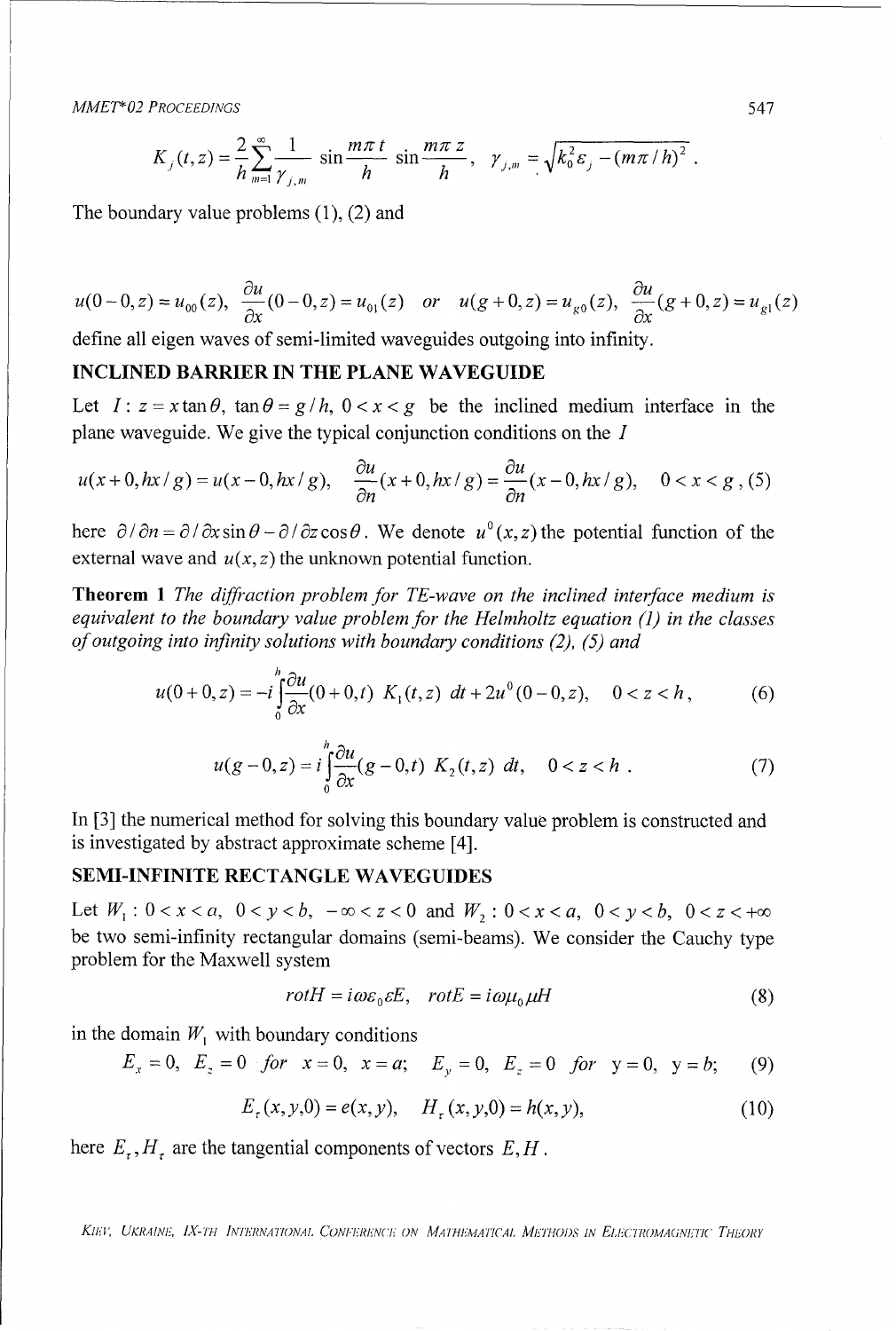*MMET"\*02 PROCEEDINGS* 547

$$
K_{j}(t,z) = \frac{2}{h} \sum_{m=1}^{\infty} \frac{1}{\gamma_{j,m}} \sin \frac{m \pi t}{h} \sin \frac{m \pi z}{h}, \quad \gamma_{j,m} = \sqrt{k_0^2 \varepsilon_j - (m \pi / h)^2}.
$$

The boundary value problems (1), (2) and

$$
u(0-0, z) = u_{00}(z), \quad \frac{\partial u}{\partial x}(0-0, z) = u_{01}(z) \quad or \quad u(g+0, z) = u_{g0}(z), \quad \frac{\partial u}{\partial x}(g+0, z) = u_{g1}(z)
$$

define all eigen waves of semi-limited waveguides outgoing into infinity.

#### **INCLINED** BARRIER **IN** THE **PLANE WAVEGUIDE**

Let  $I: z = x \tan \theta$ ,  $\tan \theta = g/h$ ,  $0 < x < g$  be the inclined medium interface in the plane waveguide. We give the typical conjunction conditions on the I

$$
u(x+0,hx/g) = u(x-0,hx/g), \quad \frac{\partial u}{\partial n}(x+0,hx/g) = \frac{\partial u}{\partial n}(x-0,hx/g), \quad 0 < x < g \tag{5}
$$

here  $\partial / \partial n = \partial / \partial x \sin \theta - \partial / \partial z \cos \theta$ . We denote  $u^0(x, z)$  the potential function of the external wave and  $u(x, z)$  the unknown potential function.

Theorem **1** *The diffraction problem for TE-wave on the inclined interface medium is equivalent to the boundary value problem for the Helmholtz equation (1) in the classes of outgoing into infinity solutions with boundary conditions (2), (5) and*

$$
u(0+0,z) = -i \int_{0}^{h} \frac{\partial u}{\partial x}(0+0,t) \ K_1(t,z) \ dt + 2u^0(0-0,z), \quad 0 < z < h \,, \tag{6}
$$

$$
u(g-0,z) = i \int_{0}^{h} \frac{\partial u}{\partial x}(g-0,t) \ K_2(t,z) \ dt, \quad 0 < z < h \ . \tag{7}
$$

In [3] the numerical method for solving this boundary value problem is constructed and is investigated by abstract approximate scheme [4].

#### **SEMI-INFINITE RECTANGLE** WAVEGUIDES

Let  $W_1: 0 < x < a$ ,  $0 < y < b$ ,  $-\infty < z < 0$  and  $W_2: 0 < x < a$ ,  $0 < y < b$ ,  $0 < z < +\infty$ be two semi-infinity rectangular domains (semi-beams). We consider the Cauchy type problem for the Maxwell system

$$
rotH = i\omega\varepsilon_0 \varepsilon E, \quad rotE = i\omega\mu_0 \mu H \tag{8}
$$

in the domain  $W_1$  with boundary conditions

$$
E_x = 0
$$
,  $E_z = 0$  for  $x = 0$ ,  $x = a$ ;  $E_y = 0$ ,  $E_z = 0$  for  $y = 0$ ,  $y = b$ ; (9)

$$
E_r(x, y, 0) = e(x, y), \quad H_r(x, y, 0) = h(x, y), \tag{10}
$$

here  $E_r$ ,  $H_t$  are the tangential components of vectors  $E, H$ .

*KIIm'V UKRAINF., IX- IY IN'TERNATIONAL CONII:R'(I•'.'N(7' ON MA II.AA TICAL METHODS IN ELiFCTI,?OA(INETIC THEOiY*